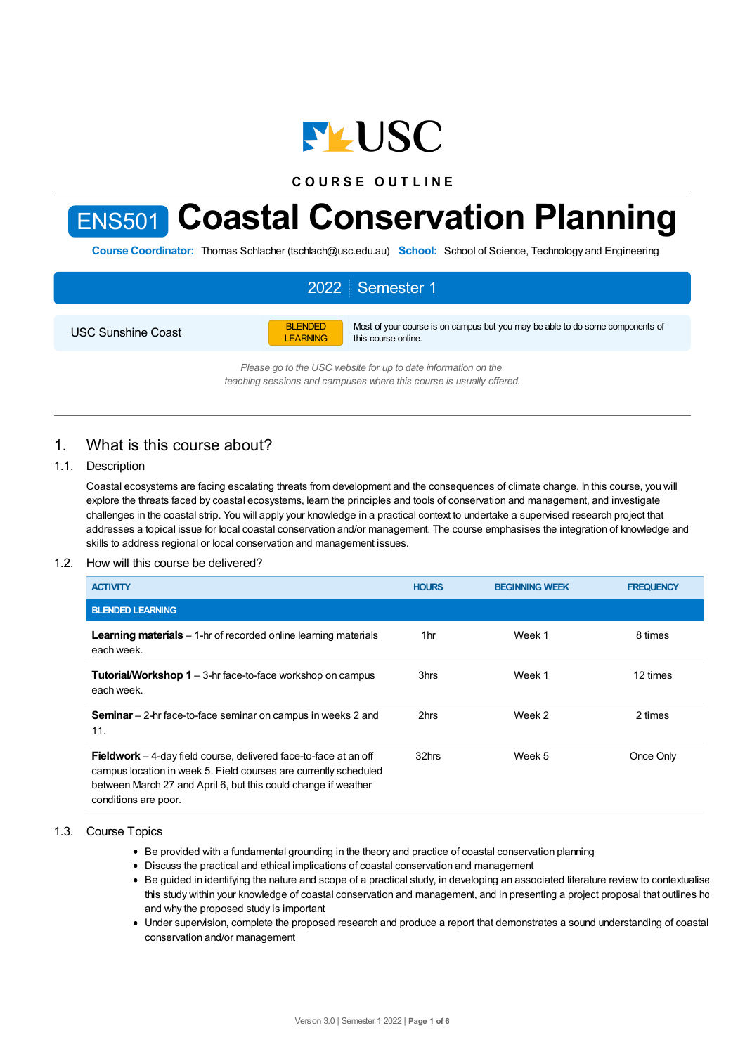

**C O U R S E O U T L I N E**

# ENS501 **Coastal Conservation Planning**

**Course Coordinator:** Thomas Schlacher (tschlach@usc.edu.au) **School:** School of Science, Technology and Engineering

# 2022 Semester 1

USC Sunshine Coast

BLENDED LEARNING Most of your course is on campus but you may be able to do some components of this course online.

*Please go to the USC website for up to date information on the teaching sessions and campuses where this course is usually offered.*

# 1. What is this course about?

## 1.1. Description

Coastal ecosystems are facing escalating threats from development and the consequences of climate change. In this course, you will explore the threats faced by coastal ecosystems, learn the principles and tools of conservation and management, and investigate challenges in the coastal strip. You will apply your knowledge in a practical context to undertake a supervised research project that addresses a topical issue for local coastal conservation and/or management. The course emphasises the integration of knowledge and skills to address regional or local conservation and management issues.

## 1.2. How will this course be delivered?

| <b>ACTIVITY</b>                                                                                                                                                                                                                       | <b>HOURS</b> | <b>BEGINNING WEEK</b> | <b>FREQUENCY</b> |
|---------------------------------------------------------------------------------------------------------------------------------------------------------------------------------------------------------------------------------------|--------------|-----------------------|------------------|
| <b>BLENDED LEARNING</b>                                                                                                                                                                                                               |              |                       |                  |
| <b>Learning materials</b> $-$ 1-hr of recorded online learning materials<br>each week.                                                                                                                                                | 1hr          | Week 1                | 8 times          |
| <b>Tutorial/Workshop 1</b> $-$ 3-hr face-to-face workshop on campus<br>each week.                                                                                                                                                     | 3hrs         | Week 1                | 12 times         |
| <b>Seminar</b> – 2-hr face-to-face seminar on campus in weeks 2 and<br>11.                                                                                                                                                            | 2hrs         | Week 2                | 2 times          |
| <b>Fieldwork</b> – 4-day field course, delivered face-to-face at an off<br>campus location in week 5. Field courses are currently scheduled<br>between March 27 and April 6, but this could change if weather<br>conditions are poor. | 32hrs        | Week 5                | Once Only        |

#### 1.3. Course Topics

- Be provided with a fundamental grounding in the theory and practice of coastal conservation planning
- Discuss the practical and ethical implications of coastal conservation and management
- Be guided in identifying the nature and scope of a practical study, in developing an associated literature review to contextualise this study within your knowledge of coastal conservation and management, and in presenting a project proposal that outlines how and why the proposed study is important
- Under supervision, complete the proposed research and produce a report that demonstrates a sound understanding of coastal conservation and/or management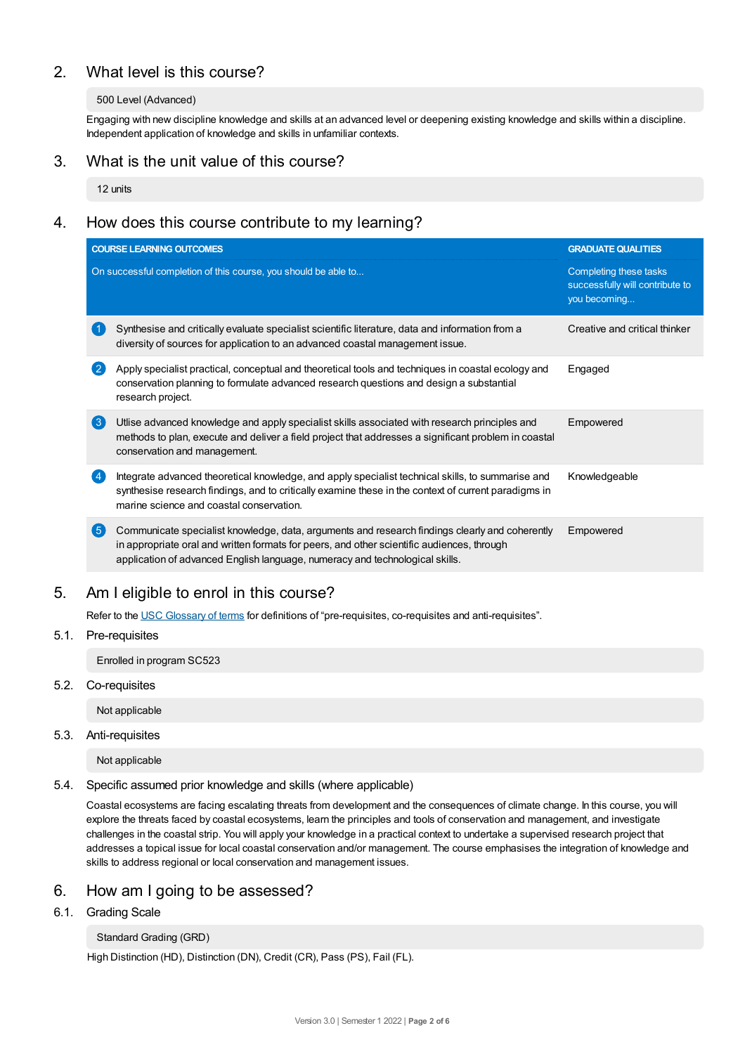# 2. What level is this course?

#### 500 Level (Advanced)

Engaging with new discipline knowledge and skills at an advanced level or deepening existing knowledge and skills within a discipline. Independent application of knowledge and skills in unfamiliar contexts.

# 3. What is the unit value of this course?

12 units

# 4. How does this course contribute to my learning?

|                    | <b>COURSE LEARNING OUTCOMES</b>                                                                                                                                                                                                                                              | <b>GRADUATE QUALITIES</b>                                                 |  |
|--------------------|------------------------------------------------------------------------------------------------------------------------------------------------------------------------------------------------------------------------------------------------------------------------------|---------------------------------------------------------------------------|--|
|                    | On successful completion of this course, you should be able to                                                                                                                                                                                                               | Completing these tasks<br>successfully will contribute to<br>you becoming |  |
|                    | Synthesise and critically evaluate specialist scientific literature, data and information from a<br>diversity of sources for application to an advanced coastal management issue.                                                                                            | Creative and critical thinker                                             |  |
| $\left( 2 \right)$ | Apply specialist practical, conceptual and theoretical tools and techniques in coastal ecology and<br>conservation planning to formulate advanced research questions and design a substantial<br>research project.                                                           | Engaged                                                                   |  |
| $\left(3\right)$   | Utlise advanced knowledge and apply specialist skills associated with research principles and<br>methods to plan, execute and deliver a field project that addresses a significant problem in coastal<br>conservation and management.                                        | Empowered                                                                 |  |
|                    | Integrate advanced theoretical knowledge, and apply specialist technical skills, to summarise and<br>synthesise research findings, and to critically examine these in the context of current paradigms in<br>marine science and coastal conservation.                        | Knowledgeable                                                             |  |
| 6                  | Communicate specialist knowledge, data, arguments and research findings clearly and coherently<br>in appropriate oral and written formats for peers, and other scientific audiences, through<br>application of advanced English language, numeracy and technological skills. | Empowered                                                                 |  |

# 5. Am Ieligible to enrol in this course?

Refer to the USC [Glossary](https://www.usc.edu.au/about/policies-and-procedures/glossary-of-terms-for-policy-and-procedures) of terms for definitions of "pre-requisites, co-requisites and anti-requisites".

## 5.1. Pre-requisites

Enrolled in program SC523

5.2. Co-requisites

Not applicable

5.3. Anti-requisites

Not applicable

5.4. Specific assumed prior knowledge and skills (where applicable)

Coastal ecosystems are facing escalating threats from development and the consequences of climate change. In this course, you will explore the threats faced by coastal ecosystems, learn the principles and tools of conservation and management, and investigate challenges in the coastal strip. You will apply your knowledge in a practical context to undertake a supervised research project that addresses a topical issue for local coastal conservation and/or management. The course emphasises the integration of knowledge and skills to address regional or local conservation and management issues.

# 6. How am Igoing to be assessed?

6.1. Grading Scale

#### Standard Grading (GRD)

High Distinction (HD), Distinction (DN), Credit (CR), Pass (PS), Fail (FL).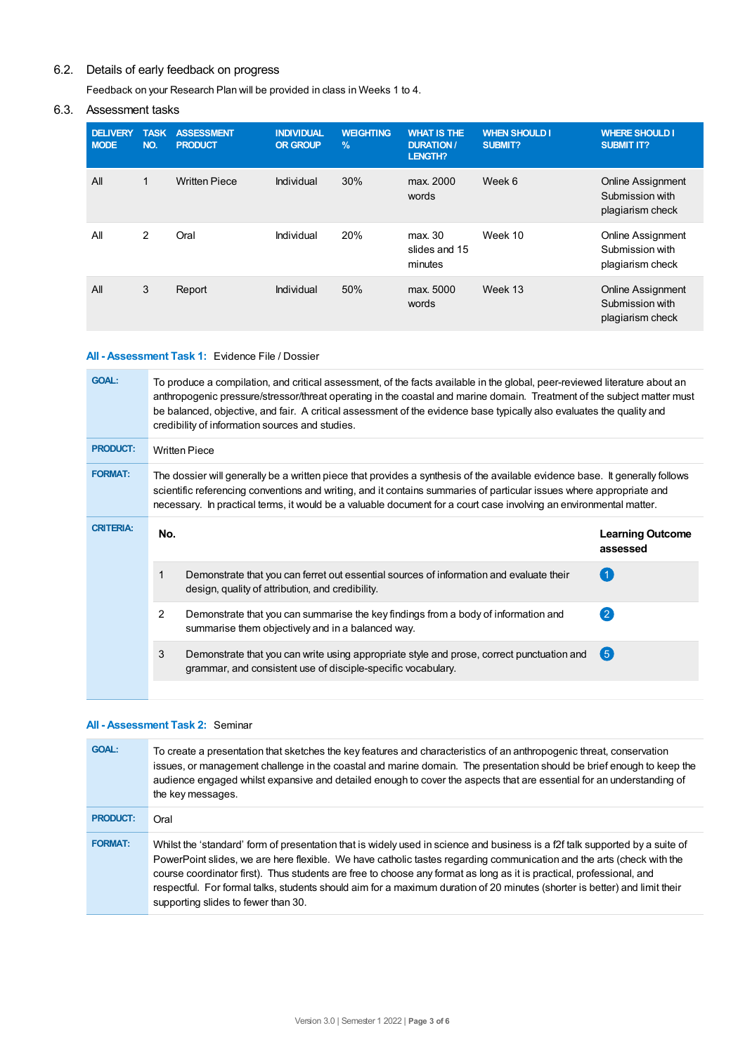## 6.2. Details of early feedback on progress

Feedback on your Research Plan will be provided in class in Weeks 1 to 4.

## 6.3. Assessment tasks

| <b>DELIVERY</b><br><b>MODE</b> | <b>TASK</b><br>NO. | <b>ASSESSMENT</b><br><b>PRODUCT</b> | <b>INDIVIDUAL</b><br><b>OR GROUP</b> | <b>WEIGHTING</b><br>$\frac{9}{6}$ | <b>WHAT IS THE</b><br><b>DURATION /</b><br>LENGTH? | <b>WHEN SHOULD I</b><br>SUBMIT? | <b>WHERE SHOULD I</b><br><b>SUBMIT IT?</b>                      |
|--------------------------------|--------------------|-------------------------------------|--------------------------------------|-----------------------------------|----------------------------------------------------|---------------------------------|-----------------------------------------------------------------|
| All                            | $\mathbf{1}$       | <b>Written Piece</b>                | Individual                           | 30%                               | max. 2000<br>words                                 | Week 6                          | <b>Online Assignment</b><br>Submission with<br>plagiarism check |
| All                            | 2                  | Oral                                | Individual                           | 20%                               | max. 30<br>slides and 15<br>minutes                | Week 10                         | <b>Online Assignment</b><br>Submission with<br>plagiarism check |
| All                            | 3                  | Report                              | Individual                           | 50%                               | max. 5000<br>words                                 | Week 13                         | <b>Online Assignment</b><br>Submission with<br>plagiarism check |

## **All - Assessment Task 1:** Evidence File / Dossier

| <b>GOAL:</b>     | To produce a compilation, and critical assessment, of the facts available in the global, peer-reviewed literature about an<br>anthropogenic pressure/stressor/threat operating in the coastal and marine domain. Treatment of the subject matter must<br>be balanced, objective, and fair. A critical assessment of the evidence base typically also evaluates the quality and<br>credibility of information sources and studies. |                                                                                                                                                           |                                     |  |  |
|------------------|-----------------------------------------------------------------------------------------------------------------------------------------------------------------------------------------------------------------------------------------------------------------------------------------------------------------------------------------------------------------------------------------------------------------------------------|-----------------------------------------------------------------------------------------------------------------------------------------------------------|-------------------------------------|--|--|
| <b>PRODUCT:</b>  | <b>Written Piece</b>                                                                                                                                                                                                                                                                                                                                                                                                              |                                                                                                                                                           |                                     |  |  |
| <b>FORMAT:</b>   | The dossier will generally be a written piece that provides a synthesis of the available evidence base. It generally follows<br>scientific referencing conventions and writing, and it contains summaries of particular issues where appropriate and<br>necessary. In practical terms, it would be a valuable document for a court case involving an environmental matter.                                                        |                                                                                                                                                           |                                     |  |  |
| <b>CRITERIA:</b> | No.                                                                                                                                                                                                                                                                                                                                                                                                                               |                                                                                                                                                           | <b>Learning Outcome</b><br>assessed |  |  |
|                  | 1                                                                                                                                                                                                                                                                                                                                                                                                                                 | Demonstrate that you can ferret out essential sources of information and evaluate their<br>design, quality of attribution, and credibility.               | (1)                                 |  |  |
|                  | $\overline{2}$                                                                                                                                                                                                                                                                                                                                                                                                                    | Demonstrate that you can summarise the key findings from a body of information and<br>summarise them objectively and in a balanced way.                   | $\left( 2\right)$                   |  |  |
|                  | 3                                                                                                                                                                                                                                                                                                                                                                                                                                 | Demonstrate that you can write using appropriate style and prose, correct punctuation and<br>grammar, and consistent use of disciple-specific vocabulary. | (5)                                 |  |  |
|                  |                                                                                                                                                                                                                                                                                                                                                                                                                                   |                                                                                                                                                           |                                     |  |  |

## **All - Assessment Task 2:** Seminar

| <b>GOAL:</b>    | To create a presentation that sketches the key features and characteristics of an anthropogenic threat, conservation<br>issues, or management challenge in the coastal and marine domain. The presentation should be brief enough to keep the<br>audience engaged whilst expansive and detailed enough to cover the aspects that are essential for an understanding of<br>the key messages.                                                                                                                                                        |
|-----------------|----------------------------------------------------------------------------------------------------------------------------------------------------------------------------------------------------------------------------------------------------------------------------------------------------------------------------------------------------------------------------------------------------------------------------------------------------------------------------------------------------------------------------------------------------|
| <b>PRODUCT:</b> | Oral                                                                                                                                                                                                                                                                                                                                                                                                                                                                                                                                               |
| <b>FORMAT:</b>  | Whilst the 'standard' form of presentation that is widely used in science and business is a f2f talk supported by a suite of<br>PowerPoint slides, we are here flexible. We have catholic tastes regarding communication and the arts (check with the<br>course coordinator first). Thus students are free to choose any format as long as it is practical, professional, and<br>respectful. For formal talks, students should aim for a maximum duration of 20 minutes (shorter is better) and limit their<br>supporting slides to fewer than 30. |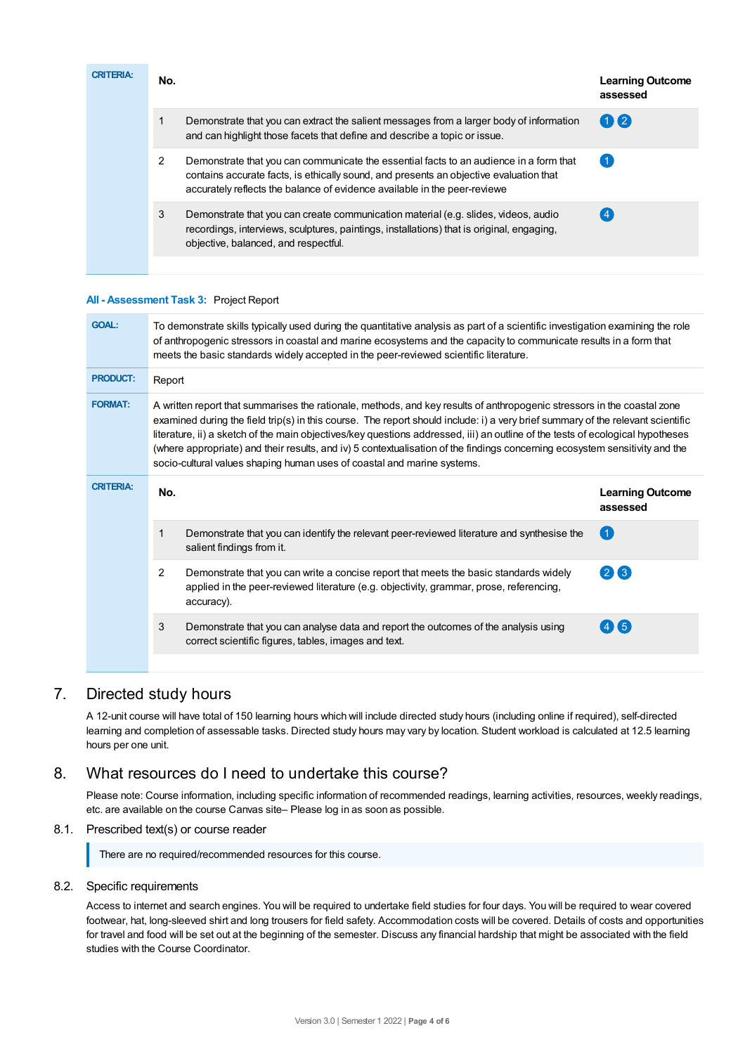| <b>CRITERIA:</b> | No. |                                                                                                                                                                                                                                                               | <b>Learning Outcome</b><br>assessed |
|------------------|-----|---------------------------------------------------------------------------------------------------------------------------------------------------------------------------------------------------------------------------------------------------------------|-------------------------------------|
|                  |     | Demonstrate that you can extract the salient messages from a larger body of information<br>and can highlight those facets that define and describe a topic or issue.                                                                                          | $(1)$ (2)                           |
|                  | 2   | Demonstrate that you can communicate the essential facts to an audience in a form that<br>contains accurate facts, is ethically sound, and presents an objective evaluation that<br>accurately reflects the balance of evidence available in the peer-reviewe |                                     |
|                  | 3   | Demonstrate that you can create communication material (e.g. slides, videos, audio<br>recordings, interviews, sculptures, paintings, installations) that is original, engaging,<br>objective, balanced, and respectful.                                       |                                     |
|                  |     |                                                                                                                                                                                                                                                               |                                     |

#### **All - Assessment Task 3:** Project Report

| <b>GOAL:</b>     | To demonstrate skills typically used during the quantitative analysis as part of a scientific investigation examining the role<br>of anthropogenic stressors in coastal and marine ecosystems and the capacity to communicate results in a form that<br>meets the basic standards widely accepted in the peer-reviewed scientific literature.                                                                                                                                                                                                                                                          |                                     |  |  |
|------------------|--------------------------------------------------------------------------------------------------------------------------------------------------------------------------------------------------------------------------------------------------------------------------------------------------------------------------------------------------------------------------------------------------------------------------------------------------------------------------------------------------------------------------------------------------------------------------------------------------------|-------------------------------------|--|--|
| <b>PRODUCT:</b>  | Report                                                                                                                                                                                                                                                                                                                                                                                                                                                                                                                                                                                                 |                                     |  |  |
| <b>FORMAT:</b>   | A written report that summarises the rationale, methods, and key results of anthropogenic stressors in the coastal zone<br>examined during the field trip(s) in this course. The report should include: i) a very brief summary of the relevant scientific<br>literature, ii) a sketch of the main objectives/key questions addressed, iii) an outline of the tests of ecological hypotheses<br>(where appropriate) and their results, and iv) 5 contextualisation of the findings concerning ecosystem sensitivity and the<br>socio-cultural values shaping human uses of coastal and marine systems. |                                     |  |  |
| <b>CRITERIA:</b> | No.                                                                                                                                                                                                                                                                                                                                                                                                                                                                                                                                                                                                    | <b>Learning Outcome</b><br>assessed |  |  |
|                  | Demonstrate that you can identify the relevant peer-reviewed literature and synthesise the<br>1<br>salient findings from it.                                                                                                                                                                                                                                                                                                                                                                                                                                                                           | $\left( 1 \right)$                  |  |  |
|                  | $\overline{2}$<br>Demonstrate that you can write a concise report that meets the basic standards widely<br>applied in the peer-reviewed literature (e.g. objectivity, grammar, prose, referencing,<br>accuracy).                                                                                                                                                                                                                                                                                                                                                                                       | $(2)$ $(3)$                         |  |  |
|                  | 3<br>Demonstrate that you can analyse data and report the outcomes of the analysis using<br>correct scientific figures, tables, images and text.                                                                                                                                                                                                                                                                                                                                                                                                                                                       | $\sqrt{5}$                          |  |  |
|                  |                                                                                                                                                                                                                                                                                                                                                                                                                                                                                                                                                                                                        |                                     |  |  |

# 7. Directed study hours

A 12-unit course will have total of 150 learning hours which will include directed study hours (including online if required), self-directed learning and completion of assessable tasks. Directed study hours may vary by location. Student workload is calculated at 12.5 learning hours per one unit.

# 8. What resources do I need to undertake this course?

Please note: Course information, including specific information of recommended readings, learning activities, resources, weekly readings, etc. are available on the course Canvas site– Please log in as soon as possible.

## 8.1. Prescribed text(s) or course reader

There are no required/recommended resources for this course.

## 8.2. Specific requirements

Access to internet and search engines. You will be required to undertake field studies for four days. You will be required to wear covered footwear, hat, long-sleeved shirt and long trousers for field safety. Accommodation costs will be covered. Details of costs and opportunities for travel and food will be set out at the beginning of the semester. Discuss any financial hardship that might be associated with the field studies with the Course Coordinator.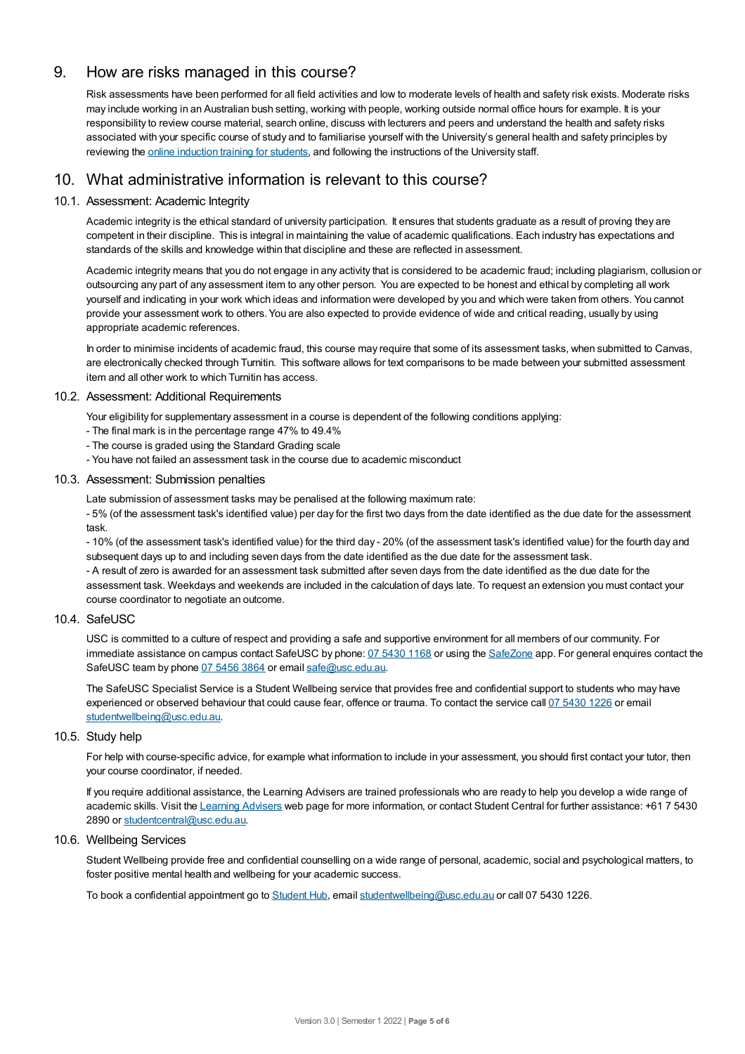# 9. How are risks managed in this course?

Risk assessments have been performed for all field activities and low to moderate levels of health and safety risk exists. Moderate risks may include working in an Australian bush setting, working with people, working outside normal office hours for example. It is your responsibility to review course material, search online, discuss with lecturers and peers and understand the health and safety risks associated with your specific course of study and to familiarise yourself with the University's general health and safety principles by reviewing the online [induction](https://online.usc.edu.au/webapps/blackboard/content/listContentEditable.jsp?content_id=_632657_1&course_id=_14432_1) training for students, and following the instructions of the University staff.

# 10. What administrative information is relevant to this course?

## 10.1. Assessment: Academic Integrity

Academic integrity is the ethical standard of university participation. It ensures that students graduate as a result of proving they are competent in their discipline. This is integral in maintaining the value of academic qualifications. Each industry has expectations and standards of the skills and knowledge within that discipline and these are reflected in assessment.

Academic integrity means that you do not engage in any activity that is considered to be academic fraud; including plagiarism, collusion or outsourcing any part of any assessment item to any other person. You are expected to be honest and ethical by completing all work yourself and indicating in your work which ideas and information were developed by you and which were taken from others. You cannot provide your assessment work to others.You are also expected to provide evidence of wide and critical reading, usually by using appropriate academic references.

In order to minimise incidents of academic fraud, this course may require that some of its assessment tasks, when submitted to Canvas, are electronically checked through Turnitin. This software allows for text comparisons to be made between your submitted assessment item and all other work to which Turnitin has access.

#### 10.2. Assessment: Additional Requirements

Your eligibility for supplementary assessment in a course is dependent of the following conditions applying:

- The final mark is in the percentage range 47% to 49.4%
- The course is graded using the Standard Grading scale
- You have not failed an assessment task in the course due to academic misconduct

### 10.3. Assessment: Submission penalties

Late submission of assessment tasks may be penalised at the following maximum rate:

- 5% (of the assessment task's identified value) per day for the first two days from the date identified as the due date for the assessment task.

- 10% (of the assessment task's identified value) for the third day - 20% (of the assessment task's identified value) for the fourth day and subsequent days up to and including seven days from the date identified as the due date for the assessment task. - A result of zero is awarded for an assessment task submitted after seven days from the date identified as the due date for the assessment task. Weekdays and weekends are included in the calculation of days late. To request an extension you must contact your course coordinator to negotiate an outcome.

#### 10.4. SafeUSC

USC is committed to a culture of respect and providing a safe and supportive environment for all members of our community. For immediate assistance on campus contact SafeUSC by phone: 07 [5430](tel:07%205430%201168) 1168 or using the [SafeZone](https://www.safezoneapp.com) app. For general enquires contact the SafeUSC team by phone 07 [5456](tel:07%205456%203864) 3864 or email [safe@usc.edu.au](mailto:safe@usc.edu.au).

The SafeUSC Specialist Service is a Student Wellbeing service that provides free and confidential support to students who may have experienced or observed behaviour that could cause fear, offence or trauma. To contact the service call 07 [5430](tel:07%205430%201226) 1226 or email [studentwellbeing@usc.edu.au](mailto:studentwellbeing@usc.edu.au).

#### 10.5. Study help

For help with course-specific advice, for example what information to include in your assessment, you should first contact your tutor, then your course coordinator, if needed.

If you require additional assistance, the Learning Advisers are trained professionals who are ready to help you develop a wide range of academic skills. Visit the Learning [Advisers](https://www.usc.edu.au/current-students/student-support/academic-and-study-support/learning-advisers) web page for more information, or contact Student Central for further assistance: +61 7 5430 2890 or [studentcentral@usc.edu.au](mailto:studentcentral@usc.edu.au).

#### 10.6. Wellbeing Services

Student Wellbeing provide free and confidential counselling on a wide range of personal, academic, social and psychological matters, to foster positive mental health and wellbeing for your academic success.

To book a confidential appointment go to [Student](https://studenthub.usc.edu.au/) Hub, email [studentwellbeing@usc.edu.au](mailto:studentwellbeing@usc.edu.au) or call 07 5430 1226.